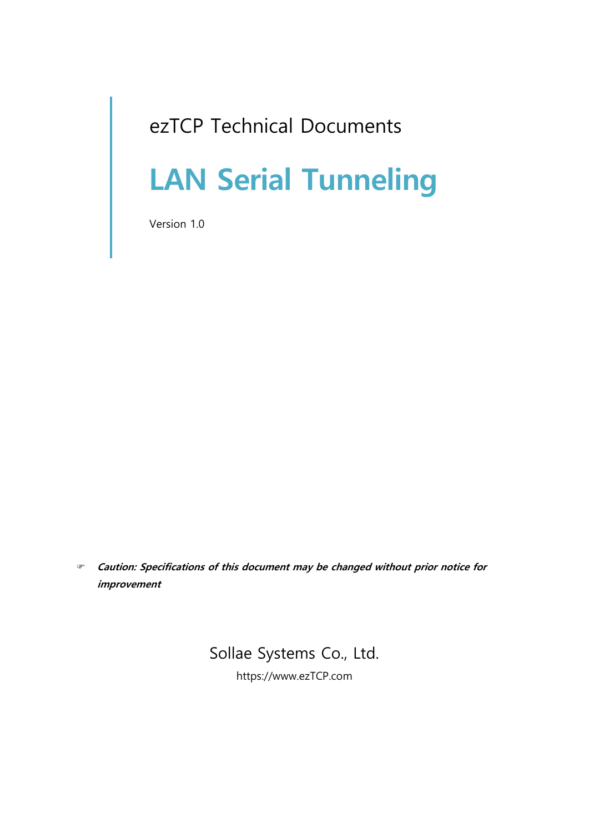# ezTCP Technical Documents

# **LAN Serial Tunneling**

Version 1.0

 **Caution: Specifications of this document may be changed without prior notice for improvement**

## Sollae Systems Co., Ltd.

https://www.ezTCP.com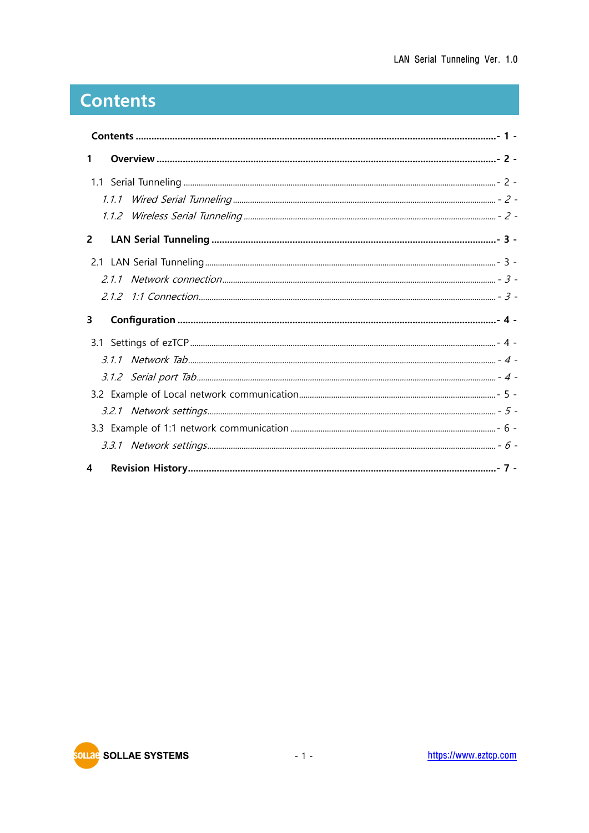# <span id="page-1-0"></span>**Contents**

| $\mathbf{1}$ |  |  |  |
|--------------|--|--|--|
|              |  |  |  |
|              |  |  |  |
|              |  |  |  |
| $\mathbf{2}$ |  |  |  |
|              |  |  |  |
|              |  |  |  |
|              |  |  |  |
| 3            |  |  |  |
|              |  |  |  |
|              |  |  |  |
|              |  |  |  |
|              |  |  |  |
|              |  |  |  |
|              |  |  |  |
|              |  |  |  |
| 4            |  |  |  |

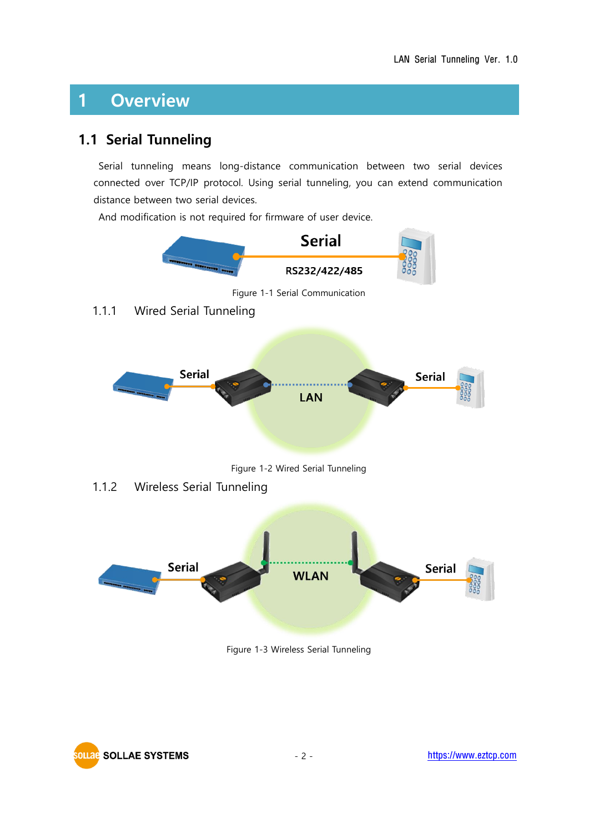# <span id="page-2-0"></span>**1 Overview**

### <span id="page-2-1"></span>**1.1 Serial Tunneling**

Serial tunneling means long-distance communication between two serial devices connected over TCP/IP protocol. Using serial tunneling, you can extend communication distance between two serial devices.

And modification is not required for firmware of user device.

<span id="page-2-2"></span>

<span id="page-2-3"></span>

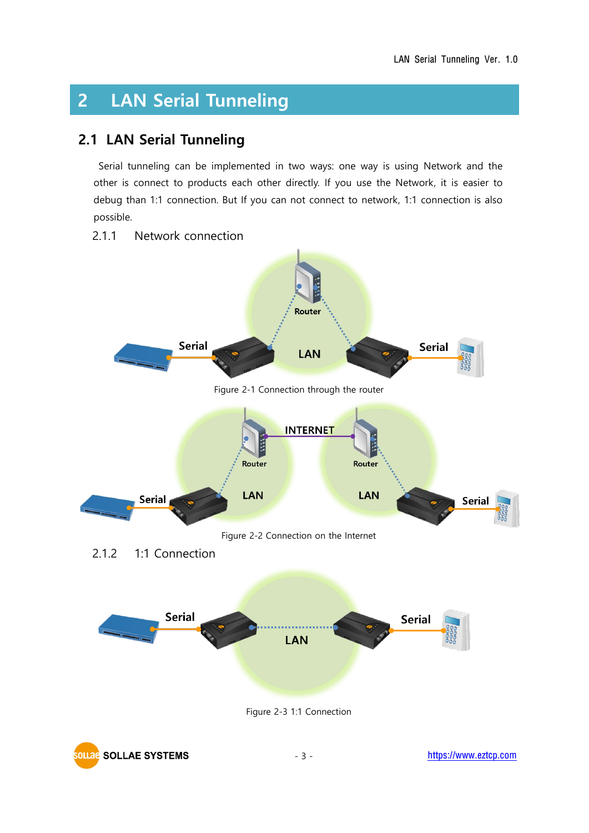# <span id="page-3-0"></span>**2 LAN Serial Tunneling**

### <span id="page-3-1"></span>**2.1 LAN Serial Tunneling**

Serial tunneling can be implemented in two ways: one way is using Network and the other is connect to products each other directly. If you use the Network, it is easier to debug than 1:1 connection. But If you can not connect to network, 1:1 connection is also possible.

#### <span id="page-3-2"></span>2.1.1 Network connection



<span id="page-3-3"></span>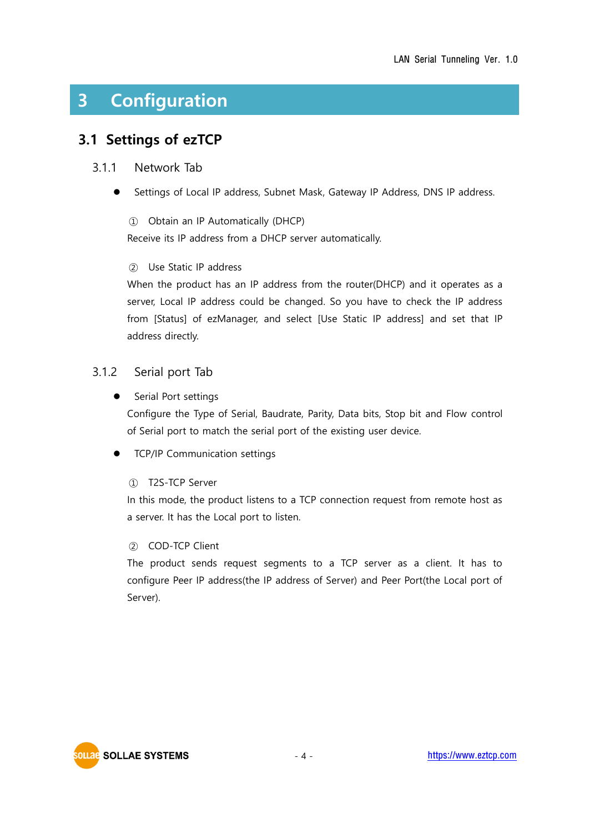# <span id="page-4-0"></span>**3 Configuration**

### <span id="page-4-1"></span>**3.1 Settings of ezTCP**

#### <span id="page-4-2"></span>3.1.1 Network Tab

Settings of Local IP address, Subnet Mask, Gateway IP Address, DNS IP address.

① Obtain an IP Automatically (DHCP)

Receive its IP address from a DHCP server automatically.

#### ② Use Static IP address

When the product has an IP address from the router(DHCP) and it operates as a server, Local IP address could be changed. So you have to check the IP address from [Status] of ezManager, and select [Use Static IP address] and set that IP address directly.

#### <span id="page-4-3"></span>3.1.2 Serial port Tab

● Serial Port settings

Configure the Type of Serial, Baudrate, Parity, Data bits, Stop bit and Flow control of Serial port to match the serial port of the existing user device.

⚫ TCP/IP Communication settings

#### ① T2S-TCP Server

In this mode, the product listens to a TCP connection request from remote host as a server. It has the Local port to listen.

#### ② COD-TCP Client

The product sends request segments to a TCP server as a client. It has to configure Peer IP address(the IP address of Server) and Peer Port(the Local port of Server).

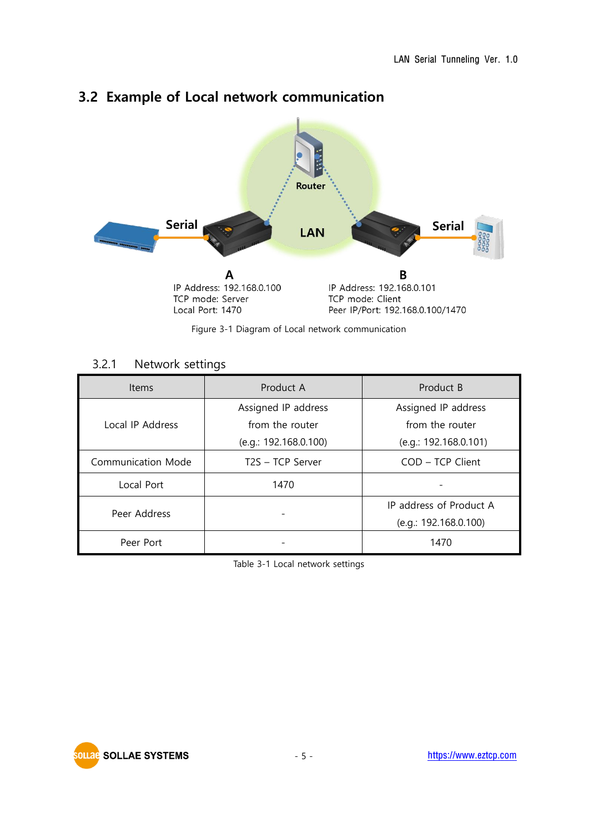

## <span id="page-5-0"></span>**3.2 Example of Local network communication**

Figure 3-1 Diagram of Local network communication

#### 3.2.1 Network settings

<span id="page-5-1"></span>

| <b>Items</b>       | Product A             | Product B               |  |
|--------------------|-----------------------|-------------------------|--|
|                    | Assigned IP address   | Assigned IP address     |  |
| Local IP Address   | from the router       | from the router         |  |
|                    | (e.q.: 192.168.0.100) | (e.q.: 192.168.0.101)   |  |
| Communication Mode | T2S - TCP Server      | $COD - TCP Client$      |  |
| Local Port         | 1470                  |                         |  |
|                    |                       | IP address of Product A |  |
| Peer Address       |                       | (e.g.: 192.168.0.100)   |  |
| Peer Port          |                       | 1470                    |  |

Table 3-1 Local network settings

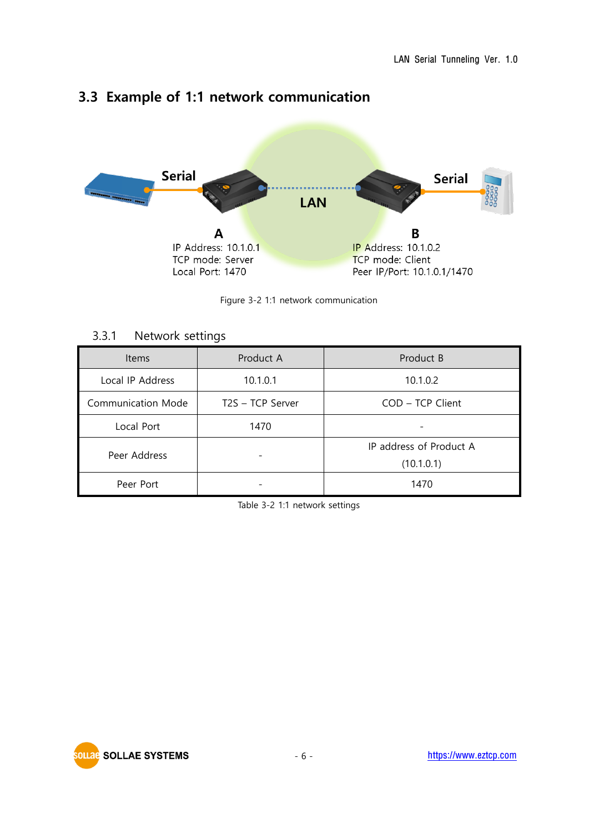

### <span id="page-6-0"></span>**3.3 Example of 1:1 network communication**

Figure 3-2 1:1 network communication

#### 3.3.1 Network settings

<span id="page-6-1"></span>

| <b>Items</b>              | Product A        | Product B                             |
|---------------------------|------------------|---------------------------------------|
| Local IP Address          | 10.1.0.1         | 10.1.0.2                              |
| <b>Communication Mode</b> | T2S - TCP Server | COD - TCP Client                      |
| Local Port                | 1470             |                                       |
| Peer Address              |                  | IP address of Product A<br>(10.1.0.1) |
| Peer Port                 |                  | 1470                                  |

Table 3-2 1:1 network settings